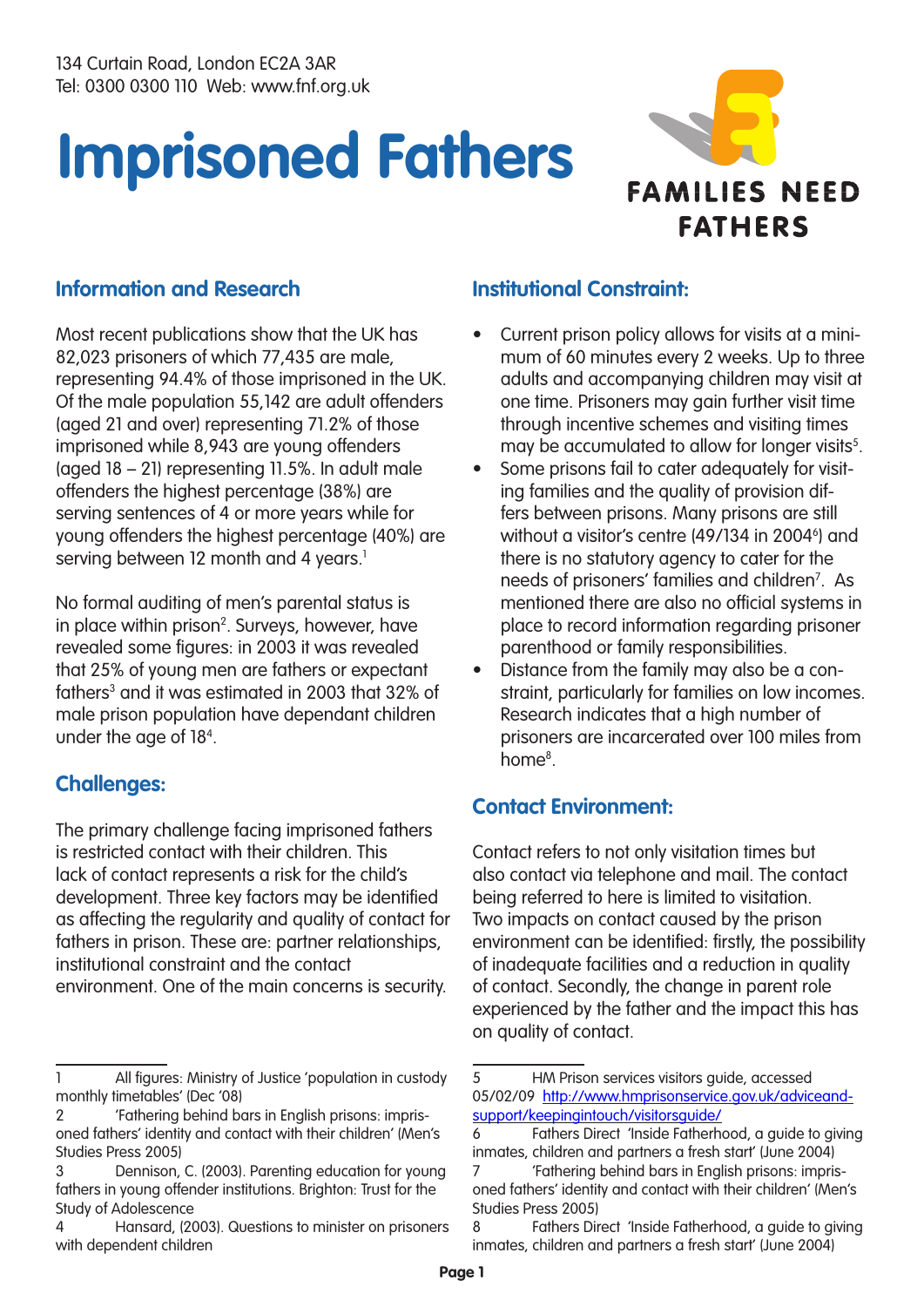

#### **Information and Research**

Most recent publications show that the UK has 82,023 prisoners of which 77,435 are male, representing 94.4% of those imprisoned in the UK. Of the male population 55,142 are adult offenders (aged 21 and over) representing 71.2% of those imprisoned while 8,943 are young offenders (aged 18 – 21) representing 11.5%. In adult male offenders the highest percentage (38%) are serving sentences of 4 or more years while for young offenders the highest percentage (40%) are serving between 12 month and 4 years.<sup>1</sup>

No formal auditing of men's parental status is in place within prison<sup>2</sup>. Surveys, however, have revealed some figures: in 2003 it was revealed that 25% of young men are fathers or expectant fathers<sup>3</sup> and it was estimated in 2003 that 32% of male prison population have dependant children under the age of 184 .

#### **Challenges:**

The primary challenge facing imprisoned fathers is restricted contact with their children. This lack of contact represents a risk for the child's development. Three key factors may be identified as affecting the regularity and quality of contact for fathers in prison. These are: partner relationships, institutional constraint and the contact environment. One of the main concerns is security.

#### **Institutional Constraint:**

- Current prison policy allows for visits at a minimum of 60 minutes every 2 weeks. Up to three adults and accompanying children may visit at one time. Prisoners may gain further visit time through incentive schemes and visiting times may be accumulated to allow for longer visits<sup>5</sup>.
- Some prisons fail to cater adequately for visiting families and the quality of provision differs between prisons. Many prisons are still without a visitor's centre (49/134 in 2004<sup>6</sup>) and there is no statutory agency to cater for the needs of prisoners' families and children<sup>7</sup>. As mentioned there are also no official systems in place to record information regarding prisoner parenthood or family responsibilities.
- Distance from the family may also be a constraint, particularly for families on low incomes. Research indicates that a high number of prisoners are incarcerated over 100 miles from home<sup>8</sup>.

# **Contact Environment:**

Contact refers to not only visitation times but also contact via telephone and mail. The contact being referred to here is limited to visitation. Two impacts on contact caused by the prison environment can be identified: firstly, the possibility of inadequate facilities and a reduction in quality of contact. Secondly, the change in parent role experienced by the father and the impact this has on quality of contact.

<sup>1</sup> All figures: Ministry of Justice 'population in custody monthly timetables' (Dec '08)

<sup>2 &#</sup>x27;Fathering behind bars in English prisons: imprisoned fathers' identity and contact with their children' (Men's Studies Press 2005)

<sup>3</sup> Dennison, C. (2003). Parenting education for young fathers in young offender institutions. Brighton: Trust for the Study of Adolescence

<sup>4</sup> Hansard, (2003). Questions to minister on prisoners with dependent children

<sup>5</sup> HM Prison services visitors guide, accessed 05/02/09 http://www.hmprisonservice.gov.uk/adviceandsupport/keepingintouch/visitorsguide/

<sup>6</sup> Fathers Direct 'Inside Fatherhood, a guide to giving inmates, children and partners a fresh start' (June 2004)

<sup>7 &#</sup>x27;Fathering behind bars in English prisons: imprisoned fathers' identity and contact with their children' (Men's Studies Press 2005)

<sup>8</sup> Fathers Direct 'Inside Fatherhood, a guide to giving inmates, children and partners a fresh start' (June 2004)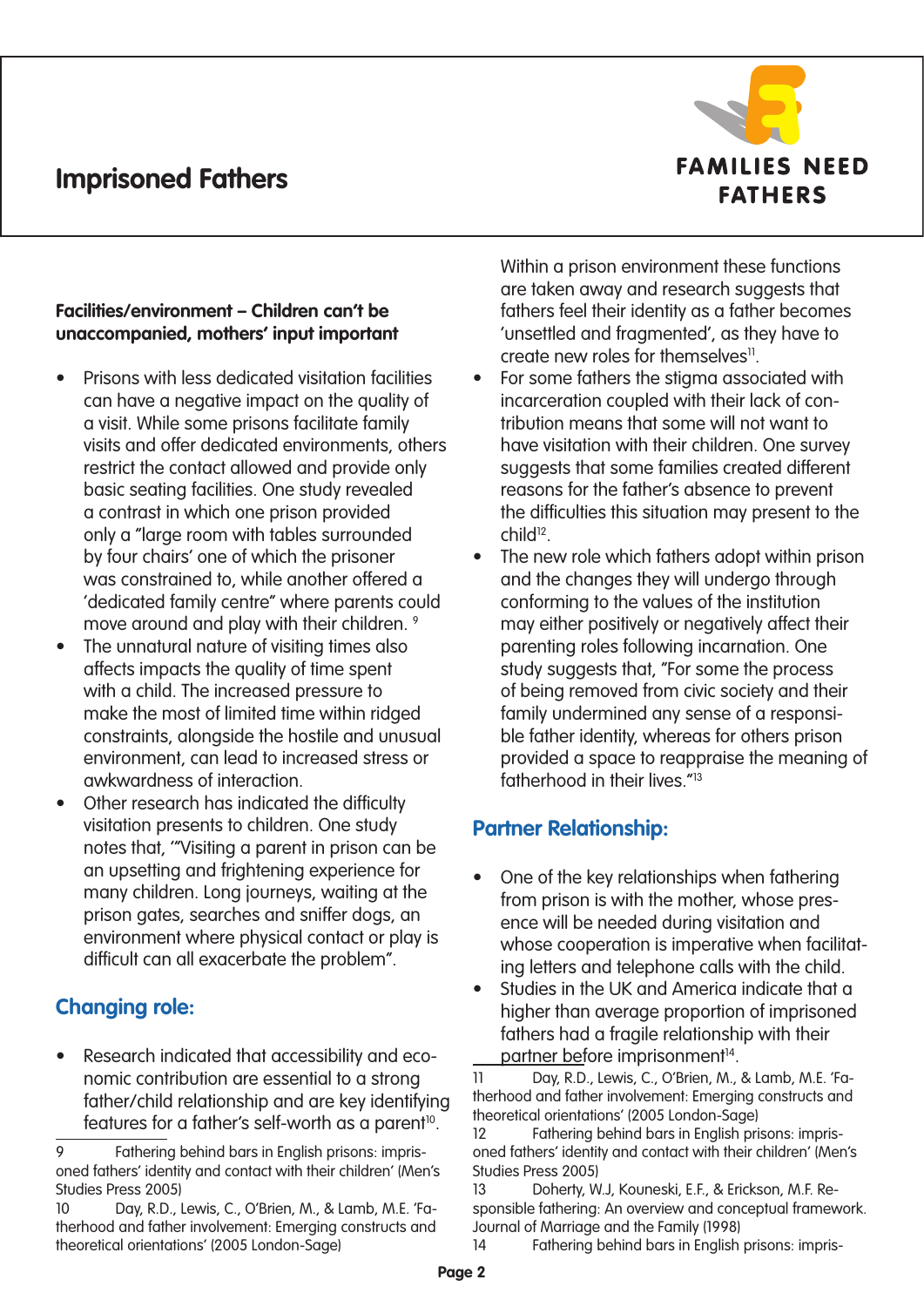

#### **Facilities/environment – Children can't be unaccompanied, mothers' input important**

- Prisons with less dedicated visitation facilities can have a negative impact on the quality of a visit. While some prisons facilitate family visits and offer dedicated environments, others restrict the contact allowed and provide only basic seating facilities. One study revealed a contrast in which one prison provided only a "large room with tables surrounded by four chairs' one of which the prisoner was constrained to, while another offered a 'dedicated family centre" where parents could move around and play with their children.<sup>9</sup>
- The unnatural nature of visiting times also affects impacts the quality of time spent with a child. The increased pressure to make the most of limited time within ridged constraints, alongside the hostile and unusual environment, can lead to increased stress or awkwardness of interaction.
- Other research has indicated the difficulty visitation presents to children. One study notes that, '"Visiting a parent in prison can be an upsetting and frightening experience for many children. Long journeys, waiting at the prison gates, searches and sniffer dogs, an environment where physical contact or play is difficult can all exacerbate the problem".

# **Changing role:**

• Research indicated that accessibility and economic contribution are essential to a strong father/child relationship and are key identifying features for a father's self-worth as a parent<sup>10</sup>.

Within a prison environment these functions are taken away and research suggests that fathers feel their identity as a father becomes 'unsettled and fragmented', as they have to create new roles for themselves<sup>11</sup>.

- For some fathers the stigma associated with incarceration coupled with their lack of contribution means that some will not want to have visitation with their children. One survey suggests that some families created different reasons for the father's absence to prevent the difficulties this situation may present to the child<sup>12</sup>.
- The new role which fathers adopt within prison and the changes they will undergo through conforming to the values of the institution may either positively or negatively affect their parenting roles following incarnation. One study suggests that, "For some the process of being removed from civic society and their family undermined any sense of a responsible father identity, whereas for others prison provided a space to reappraise the meaning of fatherhood in their lives.<sup>"13</sup>

# **Partner Relationship:**

- One of the key relationships when fathering from prison is with the mother, whose presence will be needed during visitation and whose cooperation is imperative when facilitating letters and telephone calls with the child.
- Studies in the UK and America indicate that a higher than average proportion of imprisoned fathers had a fragile relationship with their partner before imprisonment<sup>14</sup>.

<sup>9</sup> Fathering behind bars in English prisons: imprisoned fathers' identity and contact with their children' (Men's Studies Press 2005)

<sup>10</sup> Day, R.D., Lewis, C., O'Brien, M., & Lamb, M.E. 'Fatherhood and father involvement: Emerging constructs and theoretical orientations' (2005 London-Sage)

<sup>11</sup> Day, R.D., Lewis, C., O'Brien, M., & Lamb, M.E. 'Fatherhood and father involvement: Emerging constructs and theoretical orientations' (2005 London-Sage)

<sup>12</sup> Fathering behind bars in English prisons: imprisoned fathers' identity and contact with their children' (Men's Studies Press 2005)

<sup>13</sup> Doherty, W.J, Kouneski, E.F., & Erickson, M.F. Responsible fathering: An overview and conceptual framework. Journal of Marriage and the Family (1998)

<sup>14</sup> Fathering behind bars in English prisons: impris-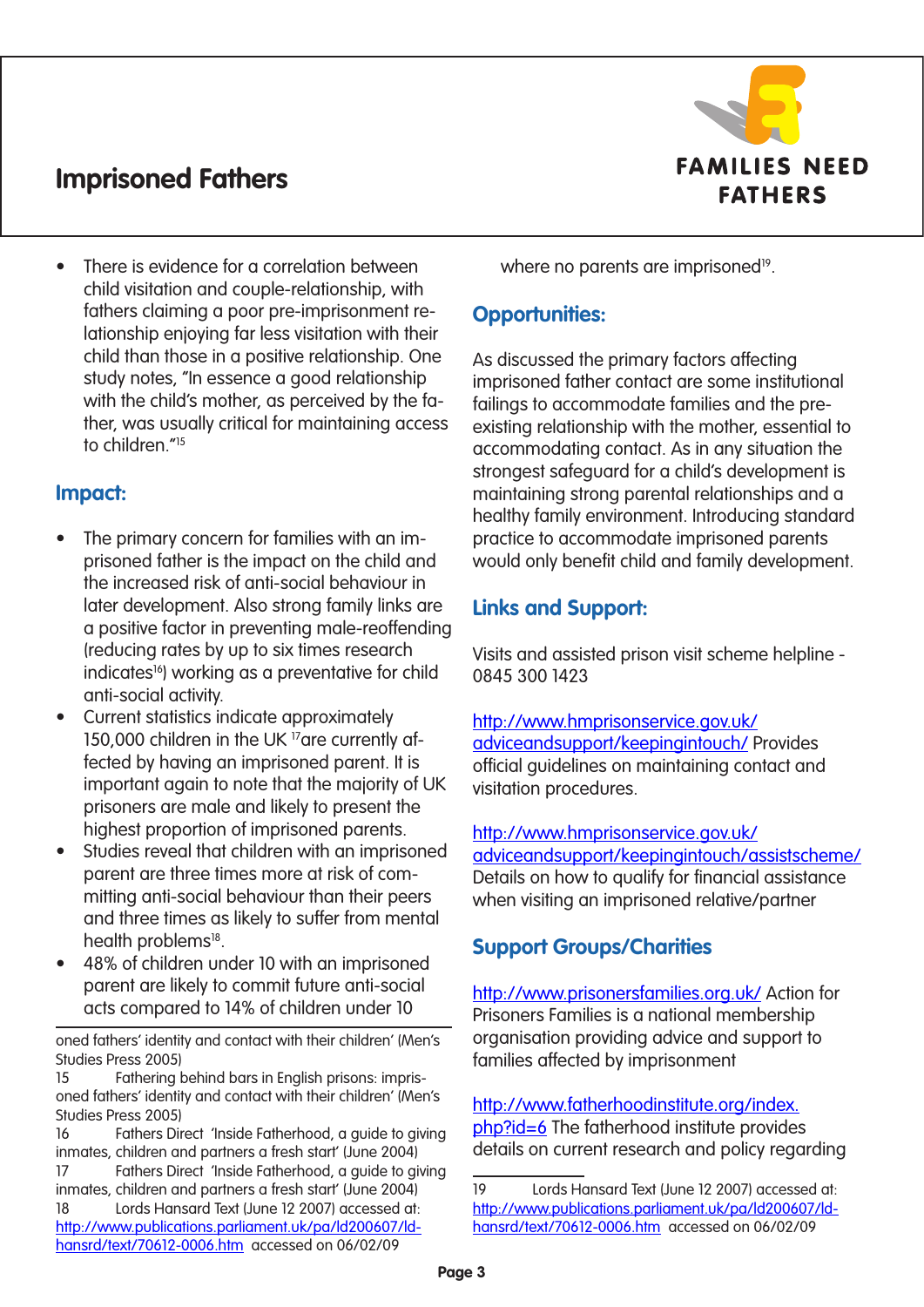

There is evidence for a correlation between child visitation and couple-relationship, with fathers claiming a poor pre-imprisonment relationship enjoying far less visitation with their child than those in a positive relationship. One study notes, "In essence a good relationship with the child's mother, as perceived by the father, was usually critical for maintaining access to children<sup>"15</sup>

#### **Impact:**

- The primary concern for families with an imprisoned father is the impact on the child and the increased risk of anti-social behaviour in later development. Also strong family links are a positive factor in preventing male-reoffending (reducing rates by up to six times research indicates<sup>16</sup>) working as a preventative for child anti-social activity.
- Current statistics indicate approximately 150,000 children in the UK <sup>17</sup>are currently affected by having an imprisoned parent. It is important again to note that the majority of UK prisoners are male and likely to present the highest proportion of imprisoned parents.
- Studies reveal that children with an imprisoned parent are three times more at risk of committing anti-social behaviour than their peers and three times as likely to suffer from mental health problems<sup>18</sup>.
- 48% of children under 10 with an imprisoned parent are likely to commit future anti-social acts compared to 14% of children under 10

oned fathers' identity and contact with their children' (Men's Studies Press 2005)

15 Fathering behind bars in English prisons: imprisoned fathers' identity and contact with their children' (Men's Studies Press 2005)

16 Fathers Direct 'Inside Fatherhood, a guide to giving inmates, children and partners a fresh start' (June 2004) 17 Fathers Direct 'Inside Fatherhood, a guide to giving inmates, children and partners a fresh start' (June 2004) 18 Lords Hansard Text (June 12 2007) accessed at: http://www.publications.parliament.uk/pa/ld200607/ldhansrd/text/70612-0006.htm accessed on 06/02/09

where no parents are imprisoned<sup>19</sup>.

# **Opportunities:**

As discussed the primary factors affecting imprisoned father contact are some institutional failings to accommodate families and the preexisting relationship with the mother, essential to accommodating contact. As in any situation the strongest safeguard for a child's development is maintaining strong parental relationships and a healthy family environment. Introducing standard practice to accommodate imprisoned parents would only benefit child and family development.

# **Links and Support:**

Visits and assisted prison visit scheme helpline - 0845 300 1423

http://www.hmprisonservice.gov.uk/ adviceandsupport/keepingintouch/ Provides official guidelines on maintaining contact and visitation procedures.

http://www.hmprisonservice.gov.uk/ adviceandsupport/keepingintouch/assistscheme/ Details on how to qualify for financial assistance when visiting an imprisoned relative/partner

# **Support Groups/Charities**

http://www.prisonersfamilies.org.uk/ Action for Prisoners Families is a national membership organisation providing advice and support to families affected by imprisonment

http://www.fatherhoodinstitute.org/index. php?id=6 The fatherhood institute provides details on current research and policy regarding

<sup>19</sup> Lords Hansard Text (June 12 2007) accessed at: http://www.publications.parliament.uk/pa/ld200607/ldhansrd/text/70612-0006.htm accessed on 06/02/09